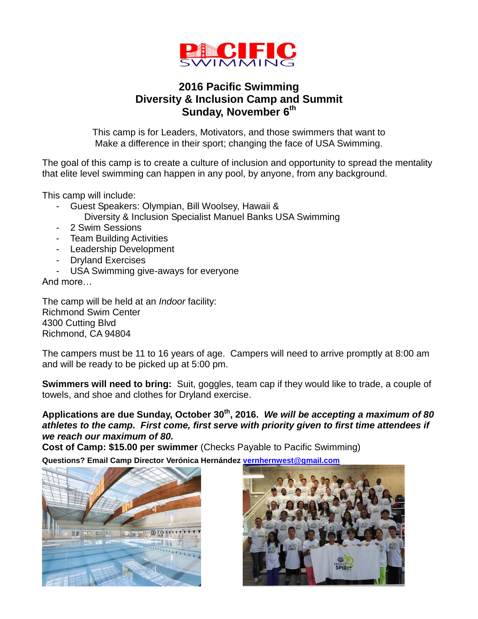

## **2016 Pacific Swimming Diversity & Inclusion Camp and Summit** Sunday, November 6<sup>th</sup>

This camp is for Leaders, Motivators, and those swimmers that want to Make a difference in their sport; changing the face of USA Swimming.

The goal of this camp is to create a culture of inclusion and opportunity to spread the mentality that elite level swimming can happen in any pool, by anyone, from any background.

This camp will include:

- Guest Speakers: Olympian, Bill Woolsey, Hawaii &
	- Diversity & Inclusion Specialist Manuel Banks USA Swimming
- 2 Swim Sessions
- Team Building Activities
- Leadership Development
- Dryland Exercises
- USA Swimming give-aways for everyone

And more…

The camp will be held at an *Indoor* facility: Richmond Swim Center 4300 Cutting Blvd Richmond, CA 94804

The campers must be 11 to 16 years of age. Campers will need to arrive promptly at 8:00 am and will be ready to be picked up at 5:00 pm.

**Swimmers will need to bring:** Suit, goggles, team cap if they would like to trade, a couple of towels, and shoe and clothes for Dryland exercise.

**Applications are due Sunday, October 30th, 2016.** *We will be accepting a maximum of 80 athletes to the camp. First come, first serve with priority given to first time attendees if we reach our maximum of 80.* 

**Cost of Camp: \$15.00 per swimmer** (Checks Payable to Pacific Swimming)

**Questions? Email Camp Director [Verónica Hernández](https://plus.google.com/u/0/111619367854511275279?prsrc=4) [vernhernwest@gmail.com](mailto:vernhernwest@gmail.com)**